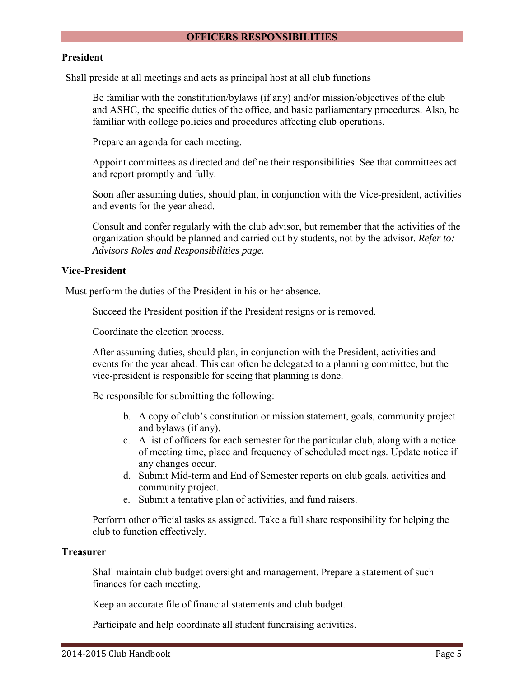#### **OFFICERS RESPONSIBILITIES**

#### **President**

Shall preside at all meetings and acts as principal host at all club functions

Be familiar with the constitution/bylaws (if any) and/or mission/objectives of the club and ASHC, the specific duties of the office, and basic parliamentary procedures. Also, be familiar with college policies and procedures affecting club operations.

Prepare an agenda for each meeting.

Appoint committees as directed and define their responsibilities. See that committees act and report promptly and fully.

Soon after assuming duties, should plan, in conjunction with the Vice-president, activities and events for the year ahead.

Consult and confer regularly with the club advisor, but remember that the activities of the organization should be planned and carried out by students, not by the advisor. *Refer to: Advisors Roles and Responsibilities page.* 

### **Vice-President**

Must perform the duties of the President in his or her absence.

Succeed the President position if the President resigns or is removed.

Coordinate the election process.

After assuming duties, should plan, in conjunction with the President, activities and events for the year ahead. This can often be delegated to a planning committee, but the vice-president is responsible for seeing that planning is done.

Be responsible for submitting the following:

- b. A copy of club's constitution or mission statement, goals, community project and bylaws (if any).
- c. A list of officers for each semester for the particular club, along with a notice of meeting time, place and frequency of scheduled meetings. Update notice if any changes occur.
- d. Submit Mid-term and End of Semester reports on club goals, activities and community project.
- e. Submit a tentative plan of activities, and fund raisers.

Perform other official tasks as assigned. Take a full share responsibility for helping the club to function effectively.

#### **Treasurer**

Shall maintain club budget oversight and management. Prepare a statement of such finances for each meeting.

Keep an accurate file of financial statements and club budget.

Participate and help coordinate all student fundraising activities.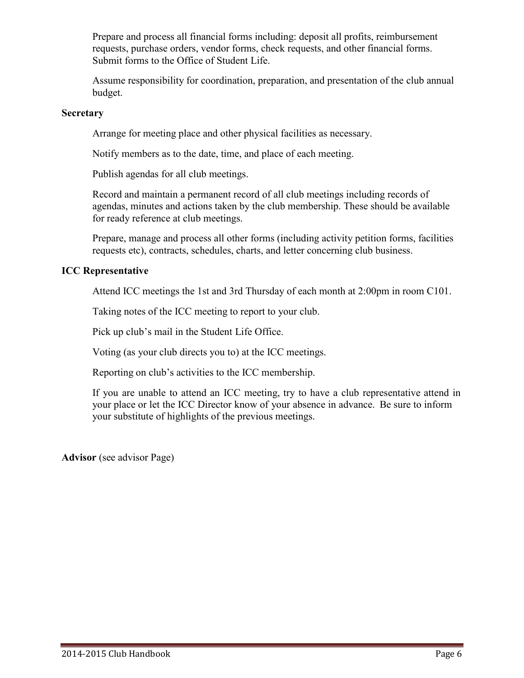Prepare and process all financial forms including: deposit all profits, reimbursement requests, purchase orders, vendor forms, check requests, and other financial forms. Submit forms to the Office of Student Life.

Assume responsibility for coordination, preparation, and presentation of the club annual budget.

### **Secretary**

Arrange for meeting place and other physical facilities as necessary.

Notify members as to the date, time, and place of each meeting.

Publish agendas for all club meetings.

Record and maintain a permanent record of all club meetings including records of agendas, minutes and actions taken by the club membership. These should be available for ready reference at club meetings.

Prepare, manage and process all other forms (including activity petition forms, facilities requests etc), contracts, schedules, charts, and letter concerning club business.

# **ICC Representative**

Attend ICC meetings the 1st and 3rd Thursday of each month at 2:00pm in room C101.

Taking notes of the ICC meeting to report to your club.

Pick up club's mail in the Student Life Office.

Voting (as your club directs you to) at the ICC meetings.

Reporting on club's activities to the ICC membership.

If you are unable to attend an ICC meeting, try to have a club representative attend in your place or let the ICC Director know of your absence in advance. Be sure to inform your substitute of highlights of the previous meetings.

**Advisor** (see advisor Page)